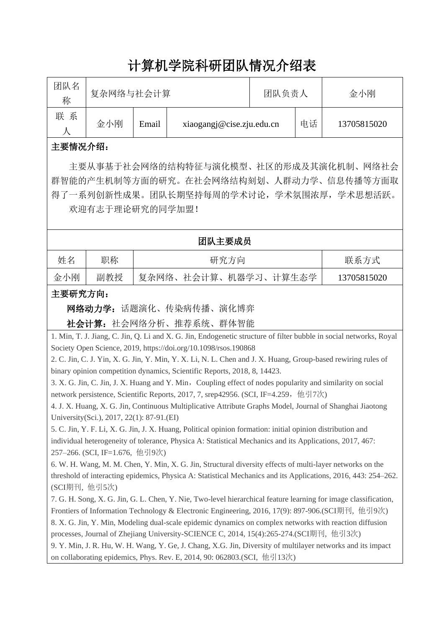# 计算机学院科研团队情况介绍表

| 团队名<br>称 | 复杂网络与社会计算 |       |                           | 团队负责人 |    | 金小刚         |
|----------|-----------|-------|---------------------------|-------|----|-------------|
| 系<br>联   | 金小刚       | Email | xiaogangj@cise.zju.edu.cn |       | 电话 | 13705815020 |

## 主要情况介绍:

主要从事基于社会网络的结构特征与演化模型、社区的形成及其演化机制、网络社会 群智能的产生机制等方面的研究。在社会网络结构刻划、人群动力学、信息传播等方面取 得了一系列创新性成果。团队长期坚持每周的学术讨论,学术氛围浓厚,学术思想活跃。 欢迎有志于理论研究的同学加盟!

### 团队主要成员

| 姓名  | 职称  | 研究方向                 | 联系方式        |
|-----|-----|----------------------|-------------|
| 金小刚 | 副教授 | 复杂网络、社会计算、机器学习、计算生态学 | 13705815020 |

## 主要研究方向:

网络动力学:话题演化、传染病传播、演化博弈

社会计算:社会网络分析、推荐系统、群体智能

1. Min, T. J. Jiang, C. Jin, Q. Li and X. G. Jin, Endogenetic structure of filter bubble in social networks, Royal Society Open Science, 2019, https://doi.org/10.1098/rsos.190868

2. C. Jin, C. J. Yin, X. G. Jin, Y. Min, Y. X. Li, N. L. Chen and J. X. Huang, Group-based rewiring rules of binary opinion competition dynamics, Scientific Reports, 2018, 8, 14423.

3. X. G. Jin, C. Jin, J. X. Huang and Y. Min, Coupling effect of nodes popularity and similarity on social network persistence, Scientific Reports, 2017, 7, srep42956. (SCI, IF=4.259, 他引7次)

4. J. X. Huang, X. G. Jin, Continuous Multiplicative Attribute Graphs Model, Journal of Shanghai Jiaotong University(Sci.), 2017, 22(1): 87-91.(EI)

5. C. Jin, Y. F. Li, X. G. Jin, J. X. Huang, Political opinion formation: initial opinion distribution and individual heterogeneity of tolerance, Physica A: Statistical Mechanics and its Applications, 2017, 467: 257–266. (SCI, IF=1.676, 他引9次)

6. W. H. Wang, M. M. Chen, Y. Min, X. G. Jin, Structural diversity effects of multi-layer networks on the threshold of interacting epidemics, Physica A: Statistical Mechanics and its Applications, 2016, 443: 254–262. (SCI期刊, 他引5次)

7. G. H. Song, X. G. Jin, G. L. Chen, Y. Nie, Two-level hierarchical feature learning for image classification, Frontiers of Information Technology & Electronic Engineering, 2016, 17(9): 897-906.(SCI期刊, 他引9次) 8. X. G. Jin, Y. Min, Modeling dual-scale epidemic dynamics on complex networks with reaction diffusion processes, Journal of Zhejiang University-SCIENCE C, 2014, 15(4):265-274.(SCI期刊, 他引3次)

9. Y. Min, J. R. Hu, W. H. Wang, Y. Ge, J. Chang, X.G. Jin, Diversity of multilayer networks and its impact on collaborating epidemics, Phys. Rev. E, 2014, 90: 062803.(SCI, 他引13次)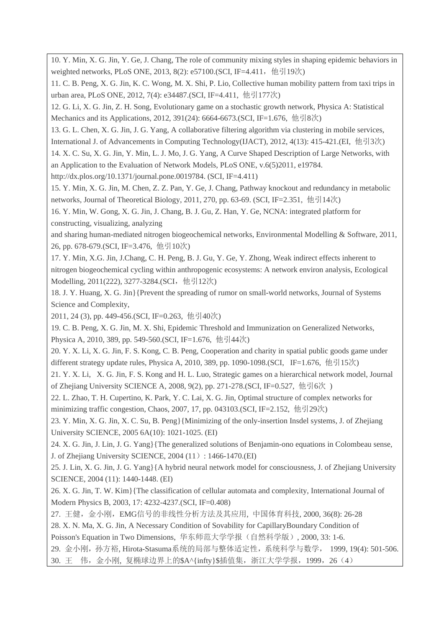10. Y. Min, X. G. Jin, Y. Ge, J. Chang, The role of community mixing styles in shaping epidemic behaviors in weighted networks, PLoS ONE, 2013, 8(2): e57100.(SCI, IF=4.411, 他引19次)

11. C. B. Peng, X. G. Jin, K. C. Wong, M. X. Shi, P. Lio, Collective human mobility pattern from taxi trips in urban area, PLoS ONE, 2012, 7(4): e34487.(SCI, IF=4.411, 他引177次)

12. G. Li, X. G. Jin, Z. H. Song, Evolutionary game on a stochastic growth network, Physica A: Statistical Mechanics and its Applications, 2012, 391(24): 6664-6673.(SCI, IF=1.676, 他引8次)

13. G. L. Chen, X. G. Jin, J. G. Yang, A collaborative filtering algorithm via clustering in mobile services,

International J. of Advancements in Computing Technology(IJACT), 2012, 4(13): 415-421.(EI, 他引3次)

14. X. C. Su, X. G. Jin, Y. Min, L. J. Mo, J. G. Yang, A Curve Shaped Description of Large Networks, with an Application to the Evaluation of Network Models, PLoS ONE, v.6(5)2011, e19784.

http://dx.plos.org/10.1371/journal.pone.0019784. (SCI, IF=4.411)

15. Y. Min, X. G. Jin, M. Chen, Z. Z. Pan, Y. Ge, J. Chang, Pathway knockout and redundancy in metabolic networks, Journal of Theoretical Biology, 2011, 270, pp. 63-69. (SCI, IF=2.351, 他引14次)

16. Y. Min, W. Gong, X. G. Jin, J. Chang, B. J. Gu, Z. Han, Y. Ge, NCNA: integrated platform for constructing, visualizing, analyzing

and sharing human-mediated nitrogen biogeochemical networks, Environmental Modelling & Software, 2011, 26, pp. 678-679.(SCI, IF=3.476, 他引10次)

17. Y. Min, X.G. Jin, J.Chang, C. H. Peng, B. J. Gu, Y. Ge, Y. Zhong, Weak indirect effects inherent to nitrogen biogeochemical cycling within anthropogenic ecosystems: A network environ analysis, Ecological Modelling, 2011(222), 3277-3284.(SCI, 他引12次)

18. J. Y. Huang, X. G. Jin}{Prevent the spreading of rumor on small-world networks, Journal of Systems Science and Complexity,

2011, 24 (3), pp. 449-456.(SCI, IF=0.263, 他引40次)

19. C. B. Peng, X. G. Jin, M. X. Shi, Epidemic Threshold and Immunization on Generalized Networks,

Physica A, 2010, 389, pp. 549-560.(SCI, IF=1.676, 他引44次)

20. Y. X. Li, X. G. Jin, F. S. Kong, C. B. Peng, Cooperation and charity in spatial public goods game under different strategy update rules, Physica A, 2010, 389, pp. 1090-1098.(SCI, IF=1.676, 他引15次)

21. Y. X. Li, X. G. Jin, F. S. Kong and H. L. Luo, Strategic games on a hierarchical network model, Journal of Zhejiang University SCIENCE A, 2008, 9(2), pp. 271-278.(SCI, IF=0.527, 他引6次 )

22. L. Zhao, T. H. Cupertino, K. Park, Y. C. Lai, X. G. Jin, Optimal structure of complex networks for minimizing traffic congestion, Chaos, 2007, 17, pp. 043103.(SCI, IF=2.152, 他引29次)

23. Y. Min, X. G. Jin, X. C. Su, B. Peng}{Minimizing of the only-insertion Insdel systems, J. of Zhejiang University SCIENCE, 2005 6A(10): 1021-1025. (EI)

24. X. G. Jin, J. Lin, J. G. Yang}{The generalized solutions of Benjamin-ono equations in Colombeau sense, J. of Zhejiang University SCIENCE, 2004 (11): 1466-1470.(EI)

25. J. Lin, X. G. Jin, J. G. Yang}{A hybrid neural network model for consciousness, J. of Zhejiang University SCIENCE, 2004 (11): 1440-1448. (EI)

26. X. G. Jin, T. W. Kim}{The classification of cellular automata and complexity, International Journal of Modern Physics B, 2003, 17: 4232-4237.(SCI, IF=0.408)

27. 王健,金小刚,EMG信号的非线性分析方法及其应用, 中国体育科技, 2000, 36(8): 26-28

28. X. N. Ma, X. G. Jin, A Necessary Condition of Sovability for CapillaryBoundary Condition of Poisson's Equation in Two Dimensions, 华东师范大学学报(自然科学版), 2000, 33: 1-6.

29. 金小刚,孙方裕, Hirota-Stasuma系统的局部与整体适定性,系统科学与数学, 1999, 19(4): 501-506. 30. 王 伟, 金小刚, 复椭球边界上的\$A^{infty}\$插值集, 浙江大学学报, 1999, 26 (4)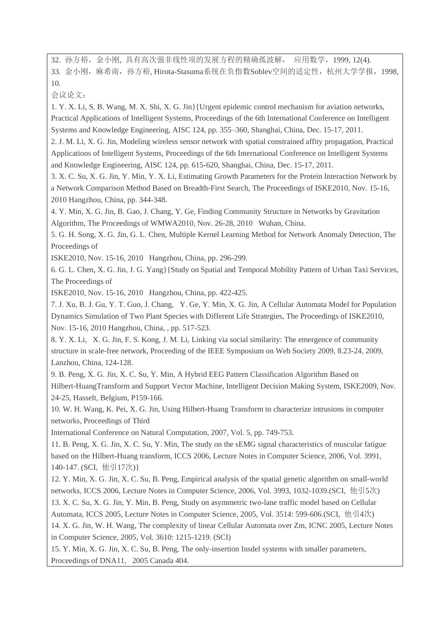32. 孙方裕, 金小刚, 具有高次强非线性项的发展方程的精确孤波解, 应用数学, 1999, 12(4). 33. 金小刚,麻希南,孙方裕, Hirota-Stasuma系统在负指数Soblev空间的适定性,杭州大学学报,1998, 10.

会议论文:

1. Y. X. Li, S. B. Wang, M. X. Shi, X. G. Jin}{Urgent epidemic control mechanism for aviation networks, Practical Applications of Intelligent Systems, Proceedings of the 6th International Conference on Intelligent Systems and Knowledge Engineering, AISC 124, pp. 355–360, Shanghai, China, Dec. 15-17, 2011.

2. J. M. Li, X. G. Jin, Modeling wireless sensor network with spatial constrained affity propagation, Practical Applications of Intelligent Systems, Proceedings of the 6th International Conference on Intelligent Systems and Knowledge Engineering, AISC 124, pp. 615-620, Shanghai, China, Dec. 15-17, 2011.

3. X. C. Su, X. G. Jin, Y. Min, Y. X. Li, Estimating Growth Parameters for the Protein Interaction Network by a Network Comparison Method Based on Breadth-First Search, The Proceedings of ISKE2010, Nov. 15-16, 2010 Hangzhou, China, pp. 344-348.

4. Y. Min, X. G. Jin, B. Gao, J. Chang, Y. Ge, Finding Community Structure in Networks by Gravitation Algorithm, The Proceedings of WMWA2010, Nov. 26-28, 2010 Wuhan, China.

5. G. H. Song, X. G. Jin, G. L. Chen, Multiple Kernel Learning Method for Network Anomaly Detection, The Proceedings of

ISKE2010, Nov. 15-16, 2010 Hangzhou, China, pp. 296-299.

6. G. L. Chen, X. G. Jin, J. G. Yang}{Study on Spatial and Temporal Mobility Pattern of Urban Taxi Services, The Proceedings of

ISKE2010, Nov. 15-16, 2010 Hangzhou, China, pp. 422-425.

7. J. Xu, B. J. Gu, Y. T. Guo, J. Chang, Y. Ge, Y. Min, X. G. Jin, A Cellular Automata Model for Population Dynamics Simulation of Two Plant Species with Different Life Strategies, The Proceedings of ISKE2010, Nov. 15-16, 2010 Hangzhou, China, , pp. 517-523.

8. Y. X. Li, X. G. Jin, F. S. Kong, J. M. Li, Linking via social similarity: The emergence of community structure in scale-free network, Proceeding of the IEEE Symposium on Web Society 2009, 8.23-24, 2009, Lanzhou, China, 124-128.

9. B. Peng, X. G. Jin, X. C. Su, Y. Min, A Hybrid EEG Pattern Classification Algorithm Based on Hilbert-HuangTransform and Support Vector Machine, Intelligent Decision Making System, ISKE2009, Nov. 24-25, Hasselt, Belgium, P159-166.

10. W. H. Wang, K. Pei, X. G. Jin, Using Hilbert-Huang Transform to characterize intrusions in computer networks, Proceedings of Third

International Conference on Natural Computation, 2007, Vol. 5, pp. 749-753.

11. B. Peng, X. G. Jin, X. C. Su, Y. Min, The study on the sEMG signal characteristics of muscular fatigue based on the Hilbert-Huang transform, ICCS 2006, Lecture Notes in Computer Science, 2006, Vol. 3991, 140-147. (SCI, 他引17次)}

12. Y. Min, X. G. Jin, X. C. Su, B. Peng, Empirical analysis of the spatial genetic algorithm on small-world networks, ICCS 2006, Lecture Notes in Computer Science, 2006, Vol. 3993, 1032-1039.(SCI, 他引5次)

13. X. C. Su, X. G. Jin, Y. Min, B. Peng, Study on asymmetric two-lane traffic model based on Cellular

Automata, ICCS 2005, Lecture Notes in Computer Science, 2005, Vol. 3514: 599-606.(SCI, 他引4次)

14. X. G. Jin, W. H. Wang, The complexity of linear Cellular Automata over Zm, ICNC 2005, Lecture Notes in Computer Science, 2005, Vol. 3610: 1215-1219. (SCI)

15. Y. Min, X. G. Jin, X. C. Su, B. Peng, The only-insertion Insdel systems with smaller parameters, Proceedings of DNA11, 2005 Canada 404.